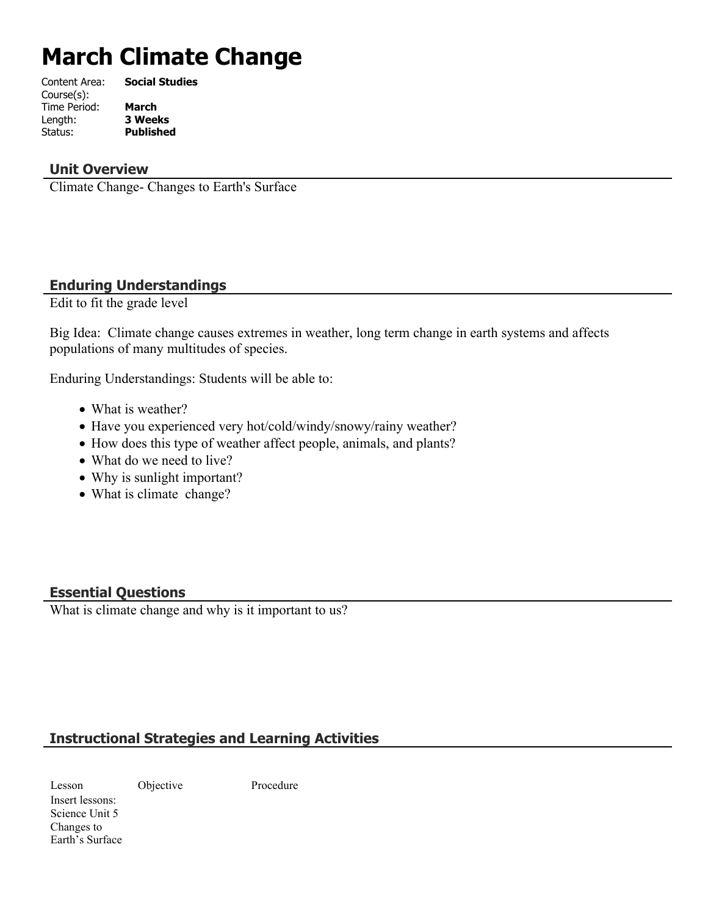# **March Climate Change**

| Content Area: | <b>Social Studies</b> |
|---------------|-----------------------|
| Course(s):    |                       |
| Time Period:  | <b>March</b>          |
| Length:       | <b>3 Weeks</b>        |
| Status:       | <b>Published</b>      |
|               |                       |

#### **Unit Overview**

Climate Change- Changes to Earth's Surface

#### **Enduring Understandings**

Edit to fit the grade level

Big Idea: Climate change causes extremes in weather, long term change in earth systems and affects populations of many multitudes of species.

Enduring Understandings: Students will be able to:

- What is weather?
- Have you experienced very hot/cold/windy/snowy/rainy weather?
- How does this type of weather affect people, animals, and plants?
- What do we need to live?
- Why is sunlight important?
- What is climate change?

#### **Essential Questions**

What is climate change and why is it important to us?

#### **Instructional Strategies and Learning Activities**

Lesson Objective Procedure Insert lessons: Science Unit 5 Changes to Earth's Surface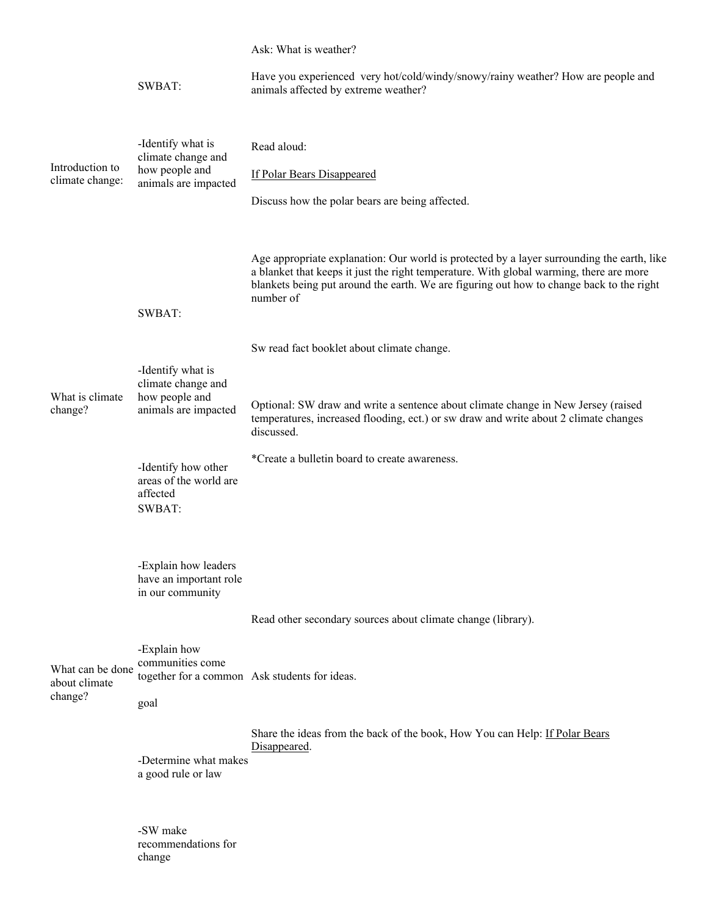Introduction to climate change: SWBAT: -Identify what is climate change and how people and animals are impacted Ask: What is weather? Have you experienced very hot/cold/windy/snowy/rainy weather? How are people and animals affected by extreme weather? Read aloud: If Polar Bears Disappeared Discuss how the polar bears are being affected. Age appropriate explanation: Our world is protected by a layer surrounding the earth, like a blanket that keeps it just the right temperature. With global warming, there are more blankets being put around the earth. We are figuring out how to change back to the right number of What is climate change? SWBAT: -Identify what is climate change and how people and animals are impacted -Identify how other areas of the world are affected Sw read fact booklet about climate change. Optional: SW draw and write a sentence about climate change in New Jersey (raised temperatures, increased flooding, ect.) or sw draw and write about 2 climate changes discussed. \*Create a bulletin board to create awareness. What can be done about climate change? SWBAT: -Explain how leaders have an important role in our community -Explain how communities come together for a common Ask students for ideas. goal -Determine what makes a good rule or law -SW make recommendations for Read other secondary sources about climate change (library). Share the ideas from the back of the book, How You can Help: If Polar Bears Disappeared.

change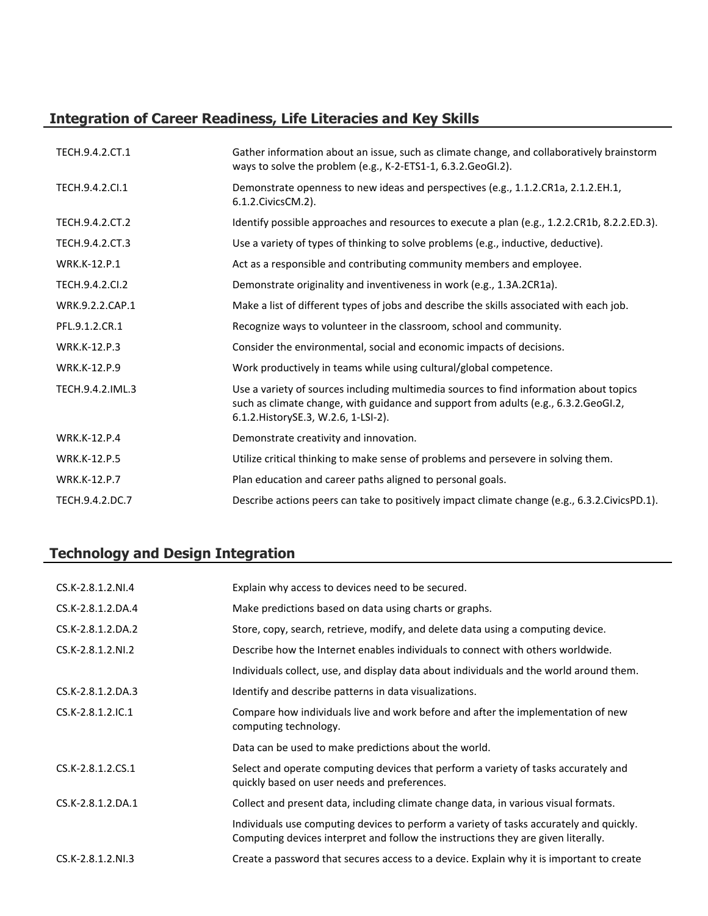## **Integration of Career Readiness, Life Literacies and Key Skills**

| TECH.9.4.2.CT.1     | Gather information about an issue, such as climate change, and collaboratively brainstorm<br>ways to solve the problem (e.g., K-2-ETS1-1, 6.3.2.GeoGI.2).                                                              |
|---------------------|------------------------------------------------------------------------------------------------------------------------------------------------------------------------------------------------------------------------|
| TECH.9.4.2.CI.1     | Demonstrate openness to new ideas and perspectives (e.g., 1.1.2.CR1a, 2.1.2.EH.1,<br>6.1.2. Civics CM. 2).                                                                                                             |
| TECH.9.4.2.CT.2     | Identify possible approaches and resources to execute a plan (e.g., 1.2.2.CR1b, 8.2.2.ED.3).                                                                                                                           |
| TECH.9.4.2.CT.3     | Use a variety of types of thinking to solve problems (e.g., inductive, deductive).                                                                                                                                     |
| <b>WRK.K-12.P.1</b> | Act as a responsible and contributing community members and employee.                                                                                                                                                  |
| TECH.9.4.2.CI.2     | Demonstrate originality and inventiveness in work (e.g., 1.3A.2CR1a).                                                                                                                                                  |
| WRK.9.2.2.CAP.1     | Make a list of different types of jobs and describe the skills associated with each job.                                                                                                                               |
| PFL.9.1.2.CR.1      | Recognize ways to volunteer in the classroom, school and community.                                                                                                                                                    |
| <b>WRK.K-12.P.3</b> | Consider the environmental, social and economic impacts of decisions.                                                                                                                                                  |
| <b>WRK.K-12.P.9</b> | Work productively in teams while using cultural/global competence.                                                                                                                                                     |
| TECH.9.4.2.IML.3    | Use a variety of sources including multimedia sources to find information about topics<br>such as climate change, with guidance and support from adults (e.g., 6.3.2.GeoGI.2,<br>6.1.2. History SE.3, W.2.6, 1-LSI-2). |
| <b>WRK.K-12.P.4</b> | Demonstrate creativity and innovation.                                                                                                                                                                                 |
| <b>WRK.K-12.P.5</b> | Utilize critical thinking to make sense of problems and persevere in solving them.                                                                                                                                     |
| <b>WRK.K-12.P.7</b> | Plan education and career paths aligned to personal goals.                                                                                                                                                             |
| TECH.9.4.2.DC.7     | Describe actions peers can take to positively impact climate change (e.g., 6.3.2.CivicsPD.1).                                                                                                                          |

## **Technology and Design Integration**

| CS.K-2.8.1.2.NI.4 | Explain why access to devices need to be secured.                                                                                                                            |
|-------------------|------------------------------------------------------------------------------------------------------------------------------------------------------------------------------|
| CS.K-2.8.1.2.DA.4 | Make predictions based on data using charts or graphs.                                                                                                                       |
| CS.K-2.8.1.2.DA.2 | Store, copy, search, retrieve, modify, and delete data using a computing device.                                                                                             |
| CS.K-2.8.1.2.NI.2 | Describe how the Internet enables individuals to connect with others worldwide.                                                                                              |
|                   | Individuals collect, use, and display data about individuals and the world around them.                                                                                      |
| CS.K-2.8.1.2.DA.3 | Identify and describe patterns in data visualizations.                                                                                                                       |
| CS.K-2.8.1.2.IC.1 | Compare how individuals live and work before and after the implementation of new<br>computing technology.                                                                    |
|                   | Data can be used to make predictions about the world.                                                                                                                        |
| CS.K-2.8.1.2.CS.1 | Select and operate computing devices that perform a variety of tasks accurately and<br>quickly based on user needs and preferences.                                          |
| CS.K-2.8.1.2.DA.1 | Collect and present data, including climate change data, in various visual formats.                                                                                          |
|                   | Individuals use computing devices to perform a variety of tasks accurately and quickly.<br>Computing devices interpret and follow the instructions they are given literally. |
| CS.K-2.8.1.2.NI.3 | Create a password that secures access to a device. Explain why it is important to create                                                                                     |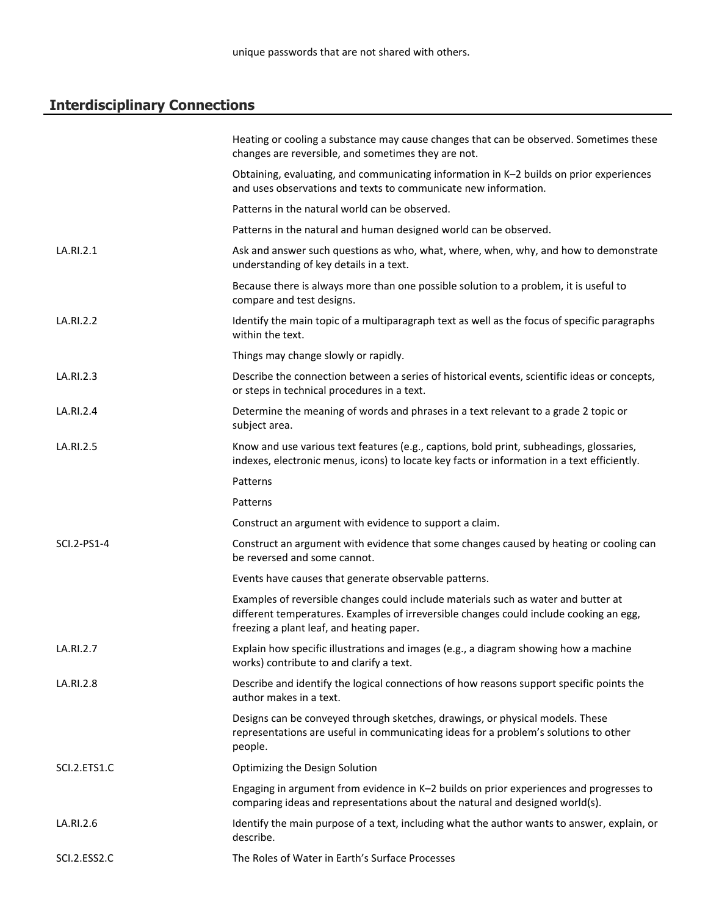# **Interdisciplinary Connections**

|              | Heating or cooling a substance may cause changes that can be observed. Sometimes these<br>changes are reversible, and sometimes they are not.                                                                             |
|--------------|---------------------------------------------------------------------------------------------------------------------------------------------------------------------------------------------------------------------------|
|              | Obtaining, evaluating, and communicating information in K-2 builds on prior experiences<br>and uses observations and texts to communicate new information.                                                                |
|              | Patterns in the natural world can be observed.                                                                                                                                                                            |
|              | Patterns in the natural and human designed world can be observed.                                                                                                                                                         |
| LA.RI.2.1    | Ask and answer such questions as who, what, where, when, why, and how to demonstrate<br>understanding of key details in a text.                                                                                           |
|              | Because there is always more than one possible solution to a problem, it is useful to<br>compare and test designs.                                                                                                        |
| LA.RI.2.2    | Identify the main topic of a multiparagraph text as well as the focus of specific paragraphs<br>within the text.                                                                                                          |
|              | Things may change slowly or rapidly.                                                                                                                                                                                      |
| LA.RI.2.3    | Describe the connection between a series of historical events, scientific ideas or concepts,<br>or steps in technical procedures in a text.                                                                               |
| LA.RI.2.4    | Determine the meaning of words and phrases in a text relevant to a grade 2 topic or<br>subject area.                                                                                                                      |
| LA.RI.2.5    | Know and use various text features (e.g., captions, bold print, subheadings, glossaries,<br>indexes, electronic menus, icons) to locate key facts or information in a text efficiently.                                   |
|              | Patterns                                                                                                                                                                                                                  |
|              | Patterns                                                                                                                                                                                                                  |
|              | Construct an argument with evidence to support a claim.                                                                                                                                                                   |
| SCI.2-PS1-4  | Construct an argument with evidence that some changes caused by heating or cooling can<br>be reversed and some cannot.                                                                                                    |
|              | Events have causes that generate observable patterns.                                                                                                                                                                     |
|              | Examples of reversible changes could include materials such as water and butter at<br>different temperatures. Examples of irreversible changes could include cooking an egg,<br>freezing a plant leaf, and heating paper. |
| LA.RI.2.7    | Explain how specific illustrations and images (e.g., a diagram showing how a machine<br>works) contribute to and clarify a text.                                                                                          |
| LA.RI.2.8    | Describe and identify the logical connections of how reasons support specific points the<br>author makes in a text.                                                                                                       |
|              | Designs can be conveyed through sketches, drawings, or physical models. These<br>representations are useful in communicating ideas for a problem's solutions to other<br>people.                                          |
| SCI.2.ETS1.C | Optimizing the Design Solution                                                                                                                                                                                            |
|              | Engaging in argument from evidence in K-2 builds on prior experiences and progresses to<br>comparing ideas and representations about the natural and designed world(s).                                                   |
| LA.RI.2.6    | Identify the main purpose of a text, including what the author wants to answer, explain, or<br>describe.                                                                                                                  |
| SCI.2.ESS2.C | The Roles of Water in Earth's Surface Processes                                                                                                                                                                           |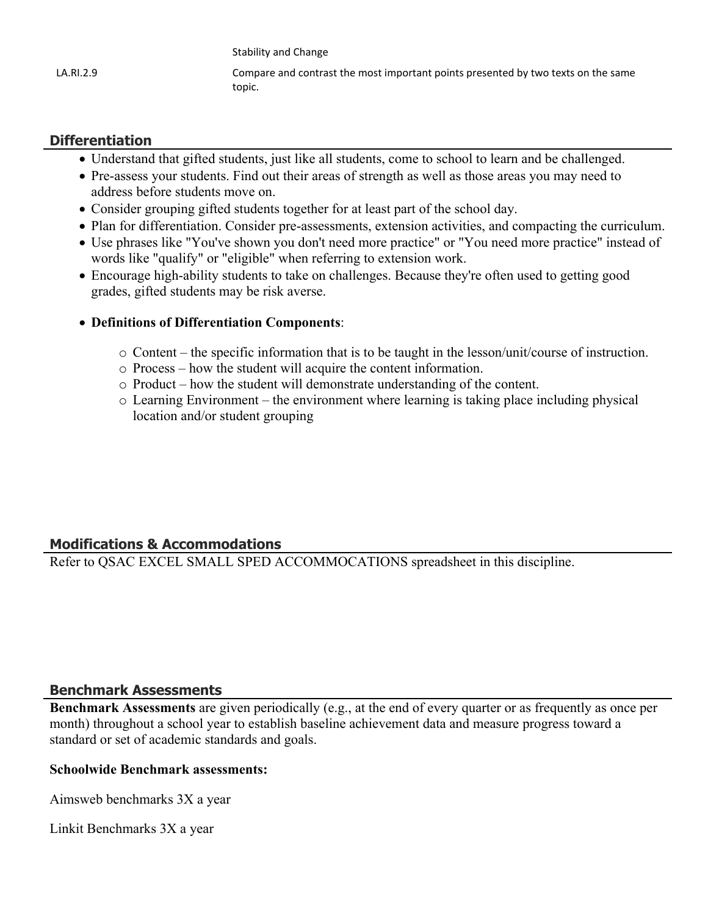|           | Stability and Change                                                                        |
|-----------|---------------------------------------------------------------------------------------------|
| LA.RI.2.9 | Compare and contrast the most important points presented by two texts on the same<br>topic. |

#### **Differentiation**

- Understand that gifted students, just like all students, come to school to learn and be challenged.
- Pre-assess your students. Find out their areas of strength as well as those areas you may need to address before students move on.
- Consider grouping gifted students together for at least part of the school day.
- Plan for differentiation. Consider pre-assessments, extension activities, and compacting the curriculum.
- Use phrases like "You've shown you don't need more practice" or "You need more practice" instead of words like "qualify" or "eligible" when referring to extension work.
- Encourage high-ability students to take on challenges. Because they're often used to getting good grades, gifted students may be risk averse.
- **Definitions of Differentiation Components**:
	- o Content the specific information that is to be taught in the lesson/unit/course of instruction.
	- o Process how the student will acquire the content information.
	- o Product how the student will demonstrate understanding of the content.
	- o Learning Environment the environment where learning is taking place including physical location and/or student grouping

#### **Modifications & Accommodations**

Refer to QSAC EXCEL SMALL SPED ACCOMMOCATIONS spreadsheet in this discipline.

#### **Benchmark Assessments**

**Benchmark Assessments** are given periodically (e.g., at the end of every quarter or as frequently as once per month) throughout a school year to establish baseline achievement data and measure progress toward a standard or set of academic standards and goals.

#### **Schoolwide Benchmark assessments:**

Aimsweb benchmarks 3X a year

Linkit Benchmarks 3X a year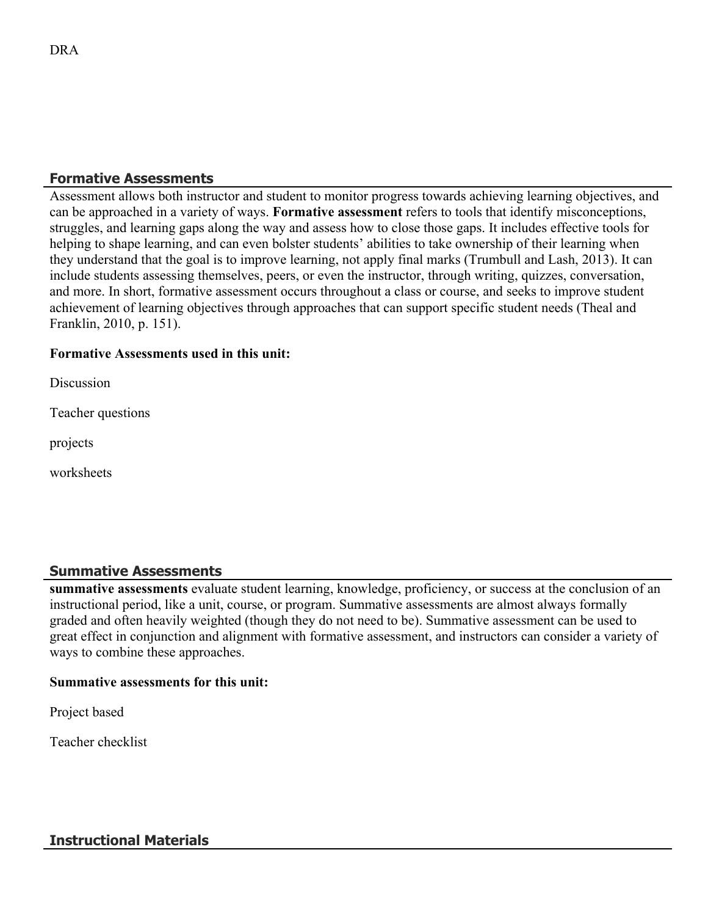#### **Formative Assessments**

Assessment allows both instructor and student to monitor progress towards achieving learning objectives, and can be approached in a variety of ways. **Formative assessment** refers to tools that identify misconceptions, struggles, and learning gaps along the way and assess how to close those gaps. It includes effective tools for helping to shape learning, and can even bolster students' abilities to take ownership of their learning when they understand that the goal is to improve learning, not apply final marks (Trumbull and Lash, 2013). It can include students assessing themselves, peers, or even the instructor, through writing, quizzes, conversation, and more. In short, formative assessment occurs throughout a class or course, and seeks to improve student achievement of learning objectives through approaches that can support specific student needs (Theal and Franklin, 2010, p. 151).

#### **Formative Assessments used in this unit:**

**Discussion** 

Teacher questions

projects

worksheets

#### **Summative Assessments**

**summative assessments** evaluate student learning, knowledge, proficiency, or success at the conclusion of an instructional period, like a unit, course, or program. Summative assessments are almost always formally graded and often heavily weighted (though they do not need to be). Summative assessment can be used to great effect in conjunction and alignment with formative assessment, and instructors can consider a variety of ways to combine these approaches.

#### **Summative assessments for this unit:**

Project based

Teacher checklist